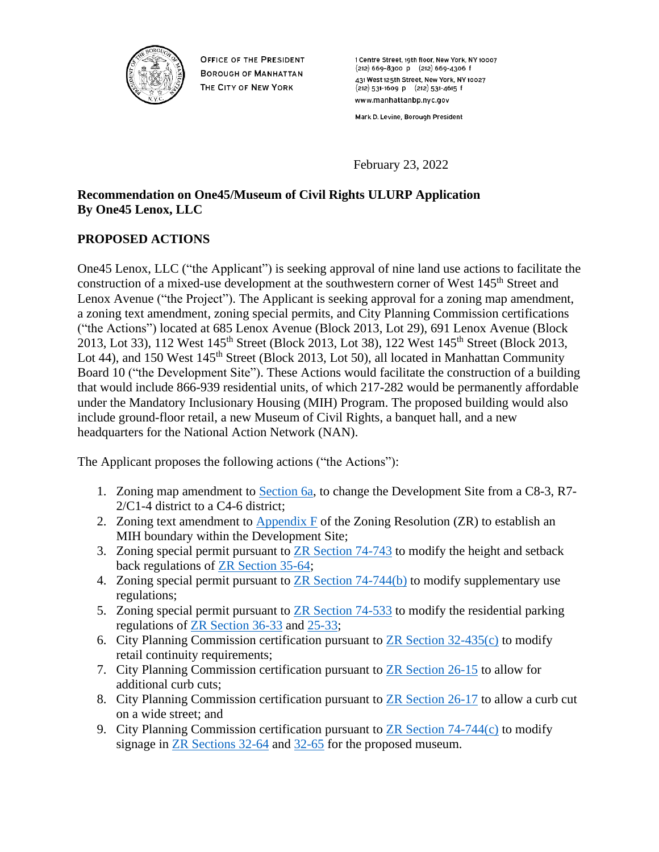

**OFFICE OF THE PRESIDENT BOROUGH OF MANHATTAN** THE CITY OF NEW YORK

1 Centre Street, 19th floor, New York, NY 10007  $(212)$  669-8300 p  $(212)$  669-4306 f 431 West 125th Street, New York, NY 10027  $(212)$  531-1609 p  $(212)$  531-4615 f www.manhattanbp.nyc.gov

Mark D. Levine, Borough President

February 23, 2022

# **Recommendation on One45/Museum of Civil Rights ULURP Application By One45 Lenox, LLC**

# **PROPOSED ACTIONS**

One45 Lenox, LLC ("the Applicant") is seeking approval of nine land use actions to facilitate the construction of a mixed-use development at the southwestern corner of West 145<sup>th</sup> Street and Lenox Avenue ("the Project"). The Applicant is seeking approval for a zoning map amendment, a zoning text amendment, zoning special permits, and City Planning Commission certifications ("the Actions") located at 685 Lenox Avenue (Block 2013, Lot 29), 691 Lenox Avenue (Block 2013, Lot 33), 112 West 145<sup>th</sup> Street (Block 2013, Lot 38), 122 West 145<sup>th</sup> Street (Block 2013, Lot 44), and 150 West 145<sup>th</sup> Street (Block 2013, Lot 50), all located in Manhattan Community Board 10 ("the Development Site"). These Actions would facilitate the construction of a building that would include 866-939 residential units, of which 217-282 would be permanently affordable under the Mandatory Inclusionary Housing (MIH) Program. The proposed building would also include ground-floor retail, a new Museum of Civil Rights, a banquet hall, and a new headquarters for the National Action Network (NAN).

The Applicant proposes the following actions ("the Actions"):

- 1. Zoning map amendment to [Section 6a,](https://www1.nyc.gov/assets/planning/download/pdf/zoning/zoning-maps/map6a.pdf) to change the Development Site from a C8-3, R7- 2/C1-4 district to a C4-6 district;
- 2. Zoning text amendment to [Appendix F](https://zr.planning.nyc.gov/appendix-f-inclusionary-housing-designated-areas-and-mandatory-inclusionary-housing-areas) of the Zoning Resolution (ZR) to establish an MIH boundary within the Development Site;
- 3. Zoning special permit pursuant to ZR [Section 74-743](https://zr.planning.nyc.gov/article-vii/chapter-4#74-743) to modify the height and setback back regulations of [ZR Section 35-64;](https://zr.planning.nyc.gov/article-iii/chapter-5#35-64)
- 4. Zoning special permit pursuant to [ZR Section 74-744\(b\)](https://zr.planning.nyc.gov/article-vii/chapter-4#74-744) to modify supplementary use regulations;
- 5. Zoning special permit pursuant to [ZR Section 74-533](https://zr.planning.nyc.gov/article-vii/chapter-4#74-533) to modify the residential parking regulations of [ZR Section 36-33](https://zr.planning.nyc.gov/article-iii/chapter-6#36-33) and [25-33;](https://zr.planning.nyc.gov/article-ii/chapter-5#25-33)
- 6. City Planning Commission certification pursuant to [ZR Section 32-435\(c\)](https://zr.planning.nyc.gov/article-iii/chapter-2#32-435) to modify retail continuity requirements;
- 7. City Planning Commission certification pursuant to [ZR Section 26-15](https://zr.planning.nyc.gov/article-ii/chapter-6#26-15) to allow for additional curb cuts;
- 8. City Planning Commission certification pursuant to [ZR Section 26-17](https://zr.planning.nyc.gov/article-ii/chapter-6#26-17) to allow a curb cut on a wide street; and
- 9. City Planning Commission certification pursuant to [ZR Section 74-744\(c\)](https://zr.planning.nyc.gov/article-vii/chapter-4#74-744) to modify signage in [ZR Sections 32-64](https://zr.planning.nyc.gov/article-iii/chapter-2#32-64) and [32-65](https://zr.planning.nyc.gov/article-iii/chapter-2#32-65) for the proposed museum.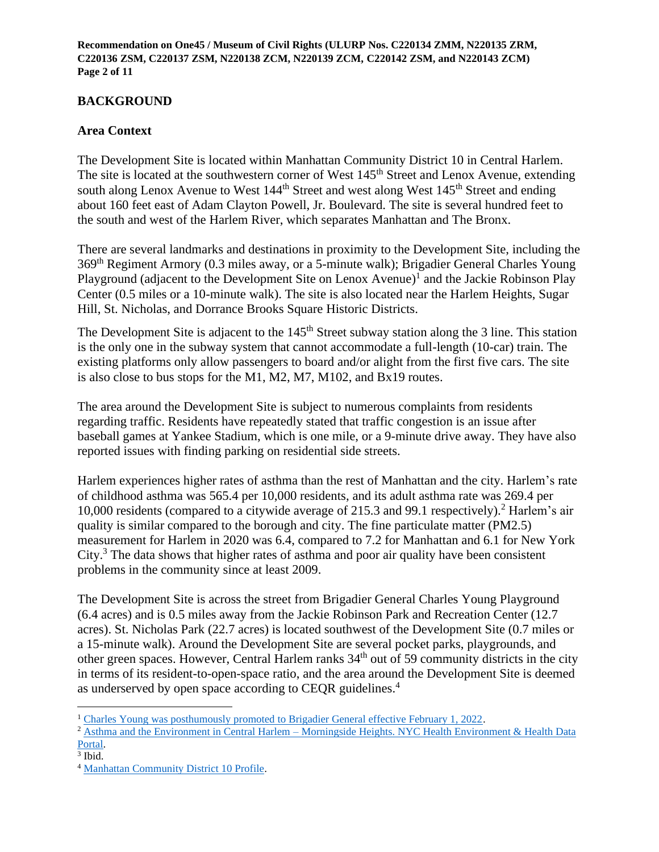**Recommendation on One45 / Museum of Civil Rights (ULURP Nos. C220134 ZMM, N220135 ZRM, C220136 ZSM, C220137 ZSM, N220138 ZCM, N220139 ZCM, C220142 ZSM, and N220143 ZCM) Page 2 of 11**

## **BACKGROUND**

## **Area Context**

The Development Site is located within Manhattan Community District 10 in Central Harlem. The site is located at the southwestern corner of West 145<sup>th</sup> Street and Lenox Avenue, extending south along Lenox Avenue to West  $144<sup>th</sup>$  Street and west along West  $145<sup>th</sup>$  Street and ending about 160 feet east of Adam Clayton Powell, Jr. Boulevard. The site is several hundred feet to the south and west of the Harlem River, which separates Manhattan and The Bronx.

There are several landmarks and destinations in proximity to the Development Site, including the 369th Regiment Armory (0.3 miles away, or a 5-minute walk); Brigadier General Charles Young Playground (adjacent to the Development Site on Lenox Avenue)<sup>1</sup> and the Jackie Robinson Play Center (0.5 miles or a 10-minute walk). The site is also located near the Harlem Heights, Sugar Hill, St. Nicholas, and Dorrance Brooks Square Historic Districts.

The Development Site is adjacent to the 145<sup>th</sup> Street subway station along the 3 line. This station is the only one in the subway system that cannot accommodate a full-length (10-car) train. The existing platforms only allow passengers to board and/or alight from the first five cars. The site is also close to bus stops for the M1, M2, M7, M102, and Bx19 routes.

The area around the Development Site is subject to numerous complaints from residents regarding traffic. Residents have repeatedly stated that traffic congestion is an issue after baseball games at Yankee Stadium, which is one mile, or a 9-minute drive away. They have also reported issues with finding parking on residential side streets.

Harlem experiences higher rates of asthma than the rest of Manhattan and the city. Harlem's rate of childhood asthma was 565.4 per 10,000 residents, and its adult asthma rate was 269.4 per 10,000 residents (compared to a citywide average of 215.3 and 99.1 respectively).<sup>2</sup> Harlem's air quality is similar compared to the borough and city. The fine particulate matter (PM2.5) measurement for Harlem in 2020 was 6.4, compared to 7.2 for Manhattan and 6.1 for New York City.<sup>3</sup> The data shows that higher rates of asthma and poor air quality have been consistent problems in the community since at least 2009.

The Development Site is across the street from Brigadier General Charles Young Playground (6.4 acres) and is 0.5 miles away from the Jackie Robinson Park and Recreation Center (12.7 acres). St. Nicholas Park (22.7 acres) is located southwest of the Development Site (0.7 miles or a 15-minute walk). Around the Development Site are several pocket parks, playgrounds, and other green spaces. However, Central Harlem ranks 34th out of 59 community districts in the city in terms of its resident-to-open-space ratio, and the area around the Development Site is deemed as underserved by open space according to CEQR guidelines.<sup>4</sup>

<sup>1</sup> [Charles Young was posthumously promoted to Brigadier General effective February 1, 2022.](https://www.wtvq.com/army-promotes-kentuckys-charles-young-to-brigadier-general-postuhumously/)

<sup>&</sup>lt;sup>2</sup> Asthma and the Environment in Central Harlem – Morningside Heights. NYC Health Environment & Health Data [Portal.](https://a816-dohbesp.nyc.gov/IndicatorPublic/Report/ServerSideReport.aspx?reportid=78&geotypeid=3&geoentityid=302&boroughid=3)<br><sup>3</sup> Ibid.

<sup>4</sup> [Manhattan Community District 10 Profile.](http://www.nyc.gov/html/mancb10/downloads/pdf/mancbb_disctict_10_profile.pdf)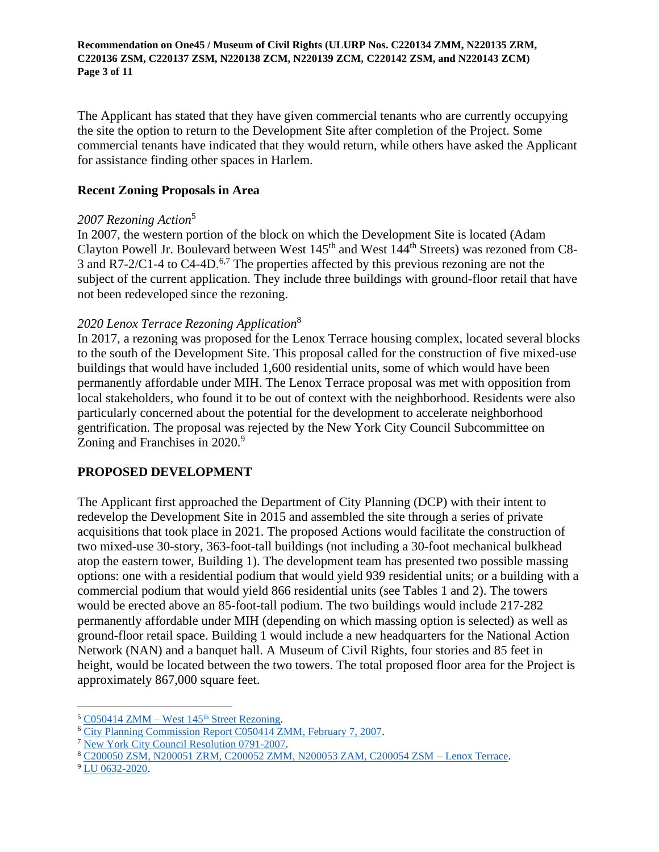**Recommendation on One45 / Museum of Civil Rights (ULURP Nos. C220134 ZMM, N220135 ZRM, C220136 ZSM, C220137 ZSM, N220138 ZCM, N220139 ZCM, C220142 ZSM, and N220143 ZCM) Page 3 of 11**

The Applicant has stated that they have given commercial tenants who are currently occupying the site the option to return to the Development Site after completion of the Project. Some commercial tenants have indicated that they would return, while others have asked the Applicant for assistance finding other spaces in Harlem.

### **Recent Zoning Proposals in Area**

### *2007 Rezoning Action*<sup>5</sup>

In 2007, the western portion of the block on which the Development Site is located (Adam Clayton Powell Jr. Boulevard between West 145th and West 144th Streets) was rezoned from C8- 3 and R7-2/C1-4 to C4-4D.<sup>6,7</sup> The properties affected by this previous rezoning are not the subject of the current application. They include three buildings with ground-floor retail that have not been redeveloped since the rezoning.

## *2020 Lenox Terrace Rezoning Application*<sup>8</sup>

In 2017, a rezoning was proposed for the Lenox Terrace housing complex, located several blocks to the south of the Development Site. This proposal called for the construction of five mixed-use buildings that would have included 1,600 residential units, some of which would have been permanently affordable under MIH. The Lenox Terrace proposal was met with opposition from local stakeholders, who found it to be out of context with the neighborhood. Residents were also particularly concerned about the potential for the development to accelerate neighborhood gentrification. The proposal was rejected by the New York City Council Subcommittee on Zoning and Franchises in 2020.<sup>9</sup>

## **PROPOSED DEVELOPMENT**

The Applicant first approached the Department of City Planning (DCP) with their intent to redevelop the Development Site in 2015 and assembled the site through a series of private acquisitions that took place in 2021. The proposed Actions would facilitate the construction of two mixed-use 30-story, 363-foot-tall buildings (not including a 30-foot mechanical bulkhead atop the eastern tower, Building 1). The development team has presented two possible massing options: one with a residential podium that would yield 939 residential units; or a building with a commercial podium that would yield 866 residential units (see Tables 1 and 2). The towers would be erected above an 85-foot-tall podium. The two buildings would include 217-282 permanently affordable under MIH (depending on which massing option is selected) as well as ground-floor retail space. Building 1 would include a new headquarters for the National Action Network (NAN) and a banquet hall. A Museum of Civil Rights, four stories and 85 feet in height, would be located between the two towers. The total proposed floor area for the Project is approximately 867,000 square feet.

 $5 \text{ } \text{C}050414 \text{ ZMM} - \text{West } 145^{\text{th}} \text{ Street Rezoning}.$ 

<sup>6</sup> [City Planning Commission Report C050414 ZMM, February 7, 2007.](https://www1.nyc.gov/assets/planning/download/pdf/about/cpc/050414.pdf)

<sup>7</sup> [New York City Council Resolution 0791-2007.](https://legistar.council.nyc.gov/LegislationDetail.aspx?ID=446924&GUID=CD6F940F-2687-46BE-BE56-B708A48A7A01)

<sup>8</sup> [C200050 ZSM, N200051 ZRM, C200052 ZMM, N200053 ZAM, C200054 ZSM –](https://www1.nyc.gov/assets/planning/download/pdf/about/cpc/200050.pdf) Lenox Terrace.

<sup>9</sup> [LU 0632-2020.](https://legistar.council.nyc.gov/LegislationDetail.aspx?ID=4326360&GUID=D1A18C2B-0398-4B69-8617-17E9B796A84A&Options=ID|Text|&Search=)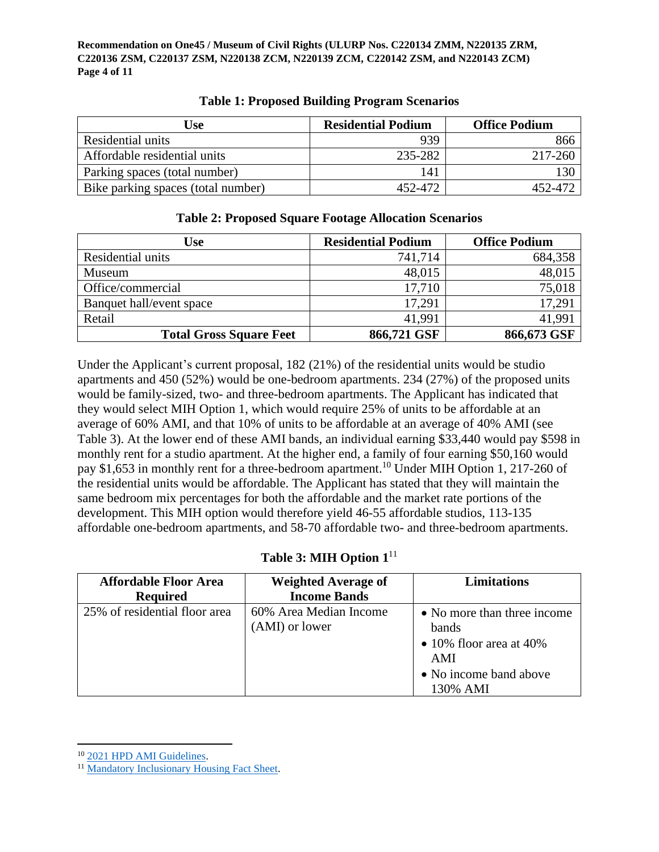**Recommendation on One45 / Museum of Civil Rights (ULURP Nos. C220134 ZMM, N220135 ZRM, C220136 ZSM, C220137 ZSM, N220138 ZCM, N220139 ZCM, C220142 ZSM, and N220143 ZCM) Page 4 of 11**

| Use                                | <b>Residential Podium</b> | <b>Office Podium</b> |
|------------------------------------|---------------------------|----------------------|
| Residential units                  | 939                       | 866                  |
| Affordable residential units       | 235-282                   | 217-260              |
| Parking spaces (total number)      | 141                       | 130                  |
| Bike parking spaces (total number) | 452-472                   | 452-472              |

## **Table 1: Proposed Building Program Scenarios**

| Use                            | <b>Residential Podium</b> | <b>Office Podium</b> |
|--------------------------------|---------------------------|----------------------|
| Residential units              | 741,714                   | 684,358              |
| Museum                         | 48,015                    | 48,015               |
| Office/commercial              | 17,710                    | 75,018               |
| Banquet hall/event space       | 17.291                    | 17,291               |
| Retail                         | 41.991                    | 41,991               |
| <b>Total Gross Square Feet</b> | 866,721 GSF               | 866,673 GSF          |

# **Table 2: Proposed Square Footage Allocation Scenarios**

Under the Applicant's current proposal, 182 (21%) of the residential units would be studio apartments and 450 (52%) would be one-bedroom apartments. 234 (27%) of the proposed units would be family-sized, two- and three-bedroom apartments. The Applicant has indicated that they would select MIH Option 1, which would require 25% of units to be affordable at an average of 60% AMI, and that 10% of units to be affordable at an average of 40% AMI (see Table 3). At the lower end of these AMI bands, an individual earning \$33,440 would pay \$598 in monthly rent for a studio apartment. At the higher end, a family of four earning \$50,160 would pay \$1,653 in monthly rent for a three-bedroom apartment.<sup>10</sup> Under MIH Option 1, 217-260 of the residential units would be affordable. The Applicant has stated that they will maintain the same bedroom mix percentages for both the affordable and the market rate portions of the development. This MIH option would therefore yield 46-55 affordable studios, 113-135 affordable one-bedroom apartments, and 58-70 affordable two- and three-bedroom apartments.

# **Table 3: MIH Option 1**<sup>11</sup>

| <b>Affordable Floor Area</b><br><b>Required</b> | <b>Weighted Average of</b><br><b>Income Bands</b> | <b>Limitations</b>                                                                                                   |
|-------------------------------------------------|---------------------------------------------------|----------------------------------------------------------------------------------------------------------------------|
| 25% of residential floor area                   | 60% Area Median Income<br>(AMI) or lower          | • No more than three income<br>bands<br>$\bullet$ 10% floor area at 40%<br>AMI<br>• No income band above<br>130% AMI |

<sup>10</sup> 2021 [HPD AMI Guidelines.](https://www1.nyc.gov/site/hpd/services-and-information/area-median-income.page)

<sup>11</sup> [Mandatory Inclusionary Housing Fact Sheet.](https://www1.nyc.gov/assets/hpd/downloads/pdfs/services/mih-fact-sheet.pdf)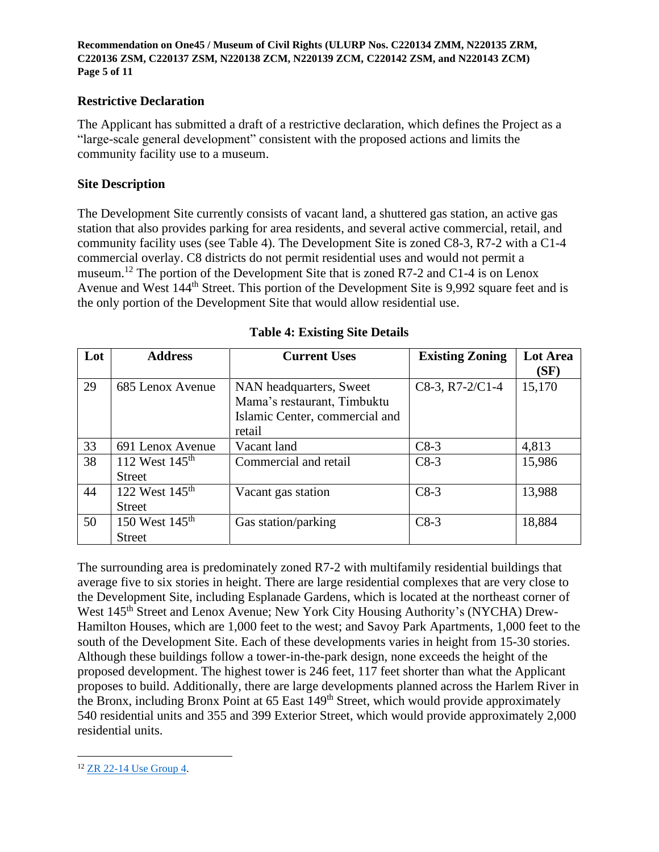**Recommendation on One45 / Museum of Civil Rights (ULURP Nos. C220134 ZMM, N220135 ZRM, C220136 ZSM, C220137 ZSM, N220138 ZCM, N220139 ZCM, C220142 ZSM, and N220143 ZCM) Page 5 of 11**

### **Restrictive Declaration**

The Applicant has submitted a draft of a restrictive declaration, which defines the Project as a "large-scale general development" consistent with the proposed actions and limits the community facility use to a museum.

### **Site Description**

The Development Site currently consists of vacant land, a shuttered gas station, an active gas station that also provides parking for area residents, and several active commercial, retail, and community facility uses (see Table 4). The Development Site is zoned C8-3, R7-2 with a C1-4 commercial overlay. C8 districts do not permit residential uses and would not permit a museum.<sup>12</sup> The portion of the Development Site that is zoned R7-2 and C1-4 is on Lenox Avenue and West 144<sup>th</sup> Street. This portion of the Development Site is 9,992 square feet and is the only portion of the Development Site that would allow residential use.

| Lot | <b>Address</b>             | <b>Current Uses</b>            | <b>Existing Zoning</b> | Lot Area |
|-----|----------------------------|--------------------------------|------------------------|----------|
|     |                            |                                |                        | (SF)     |
| 29  | 685 Lenox Avenue           | NAN headquarters, Sweet        | $C8-3$ , R7-2/C1-4     | 15,170   |
|     |                            | Mama's restaurant, Timbuktu    |                        |          |
|     |                            | Islamic Center, commercial and |                        |          |
|     |                            | retail                         |                        |          |
| 33  | 691 Lenox Avenue           | Vacant land                    | $C8-3$                 | 4,813    |
| 38  | 112 West $145^{\text{th}}$ | Commercial and retail          | $C8-3$                 | 15,986   |
|     | <b>Street</b>              |                                |                        |          |
| 44  | 122 West 145 <sup>th</sup> | Vacant gas station             | $C8-3$                 | 13,988   |
|     | <b>Street</b>              |                                |                        |          |
| 50  | 150 West 145 <sup>th</sup> | Gas station/parking            | $C8-3$                 | 18,884   |
|     | Street                     |                                |                        |          |

## **Table 4: Existing Site Details**

The surrounding area is predominately zoned R7-2 with multifamily residential buildings that average five to six stories in height. There are large residential complexes that are very close to the Development Site, including Esplanade Gardens, which is located at the northeast corner of West 145th Street and Lenox Avenue; New York City Housing Authority's (NYCHA) Drew-Hamilton Houses, which are 1,000 feet to the west; and Savoy Park Apartments, 1,000 feet to the south of the Development Site. Each of these developments varies in height from 15-30 stories. Although these buildings follow a tower-in-the-park design, none exceeds the height of the proposed development. The highest tower is 246 feet, 117 feet shorter than what the Applicant proposes to build. Additionally, there are large developments planned across the Harlem River in the Bronx, including Bronx Point at 65 East 149<sup>th</sup> Street, which would provide approximately 540 residential units and 355 and 399 Exterior Street, which would provide approximately 2,000 residential units.

<sup>12</sup> [ZR 22-14 Use Group 4.](https://zr.planning.nyc.gov/article-ii/chapter-2/22-14)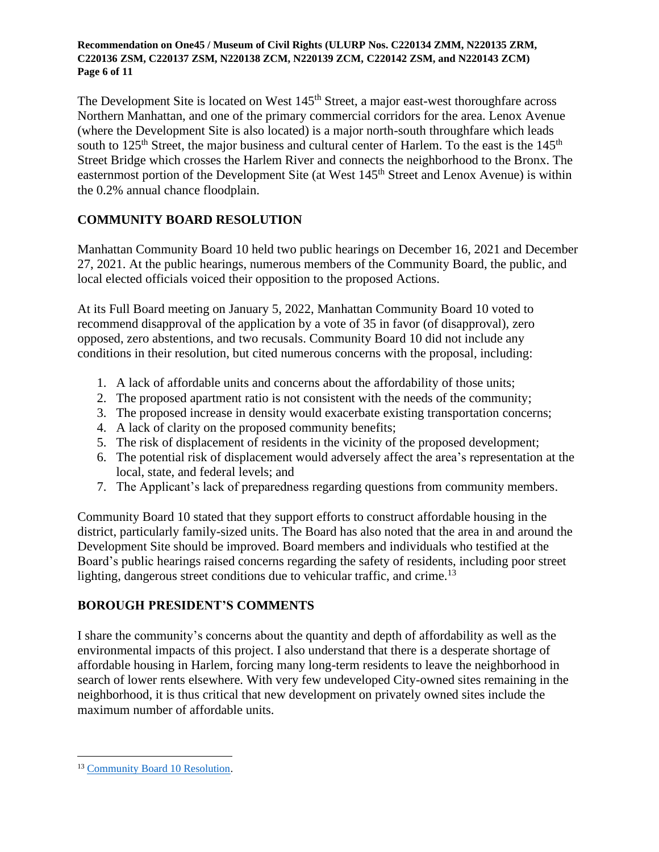#### **Recommendation on One45 / Museum of Civil Rights (ULURP Nos. C220134 ZMM, N220135 ZRM, C220136 ZSM, C220137 ZSM, N220138 ZCM, N220139 ZCM, C220142 ZSM, and N220143 ZCM) Page 6 of 11**

The Development Site is located on West 145<sup>th</sup> Street, a major east-west thoroughfare across Northern Manhattan, and one of the primary commercial corridors for the area. Lenox Avenue (where the Development Site is also located) is a major north-south throughfare which leads south to 125<sup>th</sup> Street, the major business and cultural center of Harlem. To the east is the 145<sup>th</sup> Street Bridge which crosses the Harlem River and connects the neighborhood to the Bronx. The easternmost portion of the Development Site (at West 145<sup>th</sup> Street and Lenox Avenue) is within the 0.2% annual chance floodplain.

# **COMMUNITY BOARD RESOLUTION**

Manhattan Community Board 10 held two public hearings on December 16, 2021 and December 27, 2021. At the public hearings, numerous members of the Community Board, the public, and local elected officials voiced their opposition to the proposed Actions.

At its Full Board meeting on January 5, 2022, Manhattan Community Board 10 voted to recommend disapproval of the application by a vote of 35 in favor (of disapproval), zero opposed, zero abstentions, and two recusals. Community Board 10 did not include any conditions in their resolution, but cited numerous concerns with the proposal, including:

- 1. A lack of affordable units and concerns about the affordability of those units;
- 2. The proposed apartment ratio is not consistent with the needs of the community;
- 3. The proposed increase in density would exacerbate existing transportation concerns;
- 4. A lack of clarity on the proposed community benefits;
- 5. The risk of displacement of residents in the vicinity of the proposed development;
- 6. The potential risk of displacement would adversely affect the area's representation at the local, state, and federal levels; and
- 7. The Applicant's lack of preparedness regarding questions from community members.

Community Board 10 stated that they support efforts to construct affordable housing in the district, particularly family-sized units. The Board has also noted that the area in and around the Development Site should be improved. Board members and individuals who testified at the Board's public hearings raised concerns regarding the safety of residents, including poor street lighting, dangerous street conditions due to vehicular traffic, and crime.<sup>13</sup>

# **BOROUGH PRESIDENT'S COMMENTS**

I share the community's concerns about the quantity and depth of affordability as well as the environmental impacts of this project. I also understand that there is a desperate shortage of affordable housing in Harlem, forcing many long-term residents to leave the neighborhood in search of lower rents elsewhere. With very few undeveloped City-owned sites remaining in the neighborhood, it is thus critical that new development on privately owned sites include the maximum number of affordable units.

<sup>13</sup> [Community Board 10 Resolution.](https://cbmanhattan.cityofnewyork.us/cb10/wp-content/uploads/sites/11/2022/01/RESOLUTION-Land-Use-One-45-Museum-of-Civil-Rights-January-012022.docx-1-1.pdf)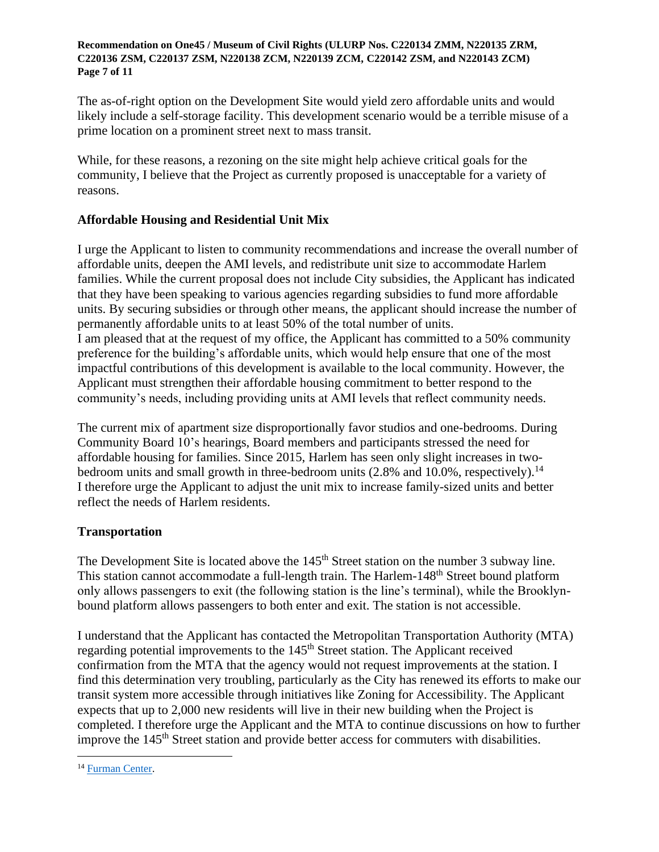#### **Recommendation on One45 / Museum of Civil Rights (ULURP Nos. C220134 ZMM, N220135 ZRM, C220136 ZSM, C220137 ZSM, N220138 ZCM, N220139 ZCM, C220142 ZSM, and N220143 ZCM) Page 7 of 11**

The as-of-right option on the Development Site would yield zero affordable units and would likely include a self-storage facility. This development scenario would be a terrible misuse of a prime location on a prominent street next to mass transit.

While, for these reasons, a rezoning on the site might help achieve critical goals for the community, I believe that the Project as currently proposed is unacceptable for a variety of reasons.

## **Affordable Housing and Residential Unit Mix**

I urge the Applicant to listen to community recommendations and increase the overall number of affordable units, deepen the AMI levels, and redistribute unit size to accommodate Harlem families. While the current proposal does not include City subsidies, the Applicant has indicated that they have been speaking to various agencies regarding subsidies to fund more affordable units. By securing subsidies or through other means, the applicant should increase the number of permanently affordable units to at least 50% of the total number of units. I am pleased that at the request of my office, the Applicant has committed to a 50% community preference for the building's affordable units, which would help ensure that one of the most impactful contributions of this development is available to the local community. However, the Applicant must strengthen their affordable housing commitment to better respond to the community's needs, including providing units at AMI levels that reflect community needs.

The current mix of apartment size disproportionally favor studios and one-bedrooms. During Community Board 10's hearings, Board members and participants stressed the need for affordable housing for families. Since 2015, Harlem has seen only slight increases in twobedroom units and small growth in three-bedroom units (2.8% and 10.0%, respectively).<sup>14</sup> I therefore urge the Applicant to adjust the unit mix to increase family-sized units and better reflect the needs of Harlem residents.

## **Transportation**

The Development Site is located above the 145<sup>th</sup> Street station on the number 3 subway line. This station cannot accommodate a full-length train. The Harlem-148<sup>th</sup> Street bound platform only allows passengers to exit (the following station is the line's terminal), while the Brooklynbound platform allows passengers to both enter and exit. The station is not accessible.

I understand that the Applicant has contacted the Metropolitan Transportation Authority (MTA) regarding potential improvements to the 145<sup>th</sup> Street station. The Applicant received confirmation from the MTA that the agency would not request improvements at the station. I find this determination very troubling, particularly as the City has renewed its efforts to make our transit system more accessible through initiatives like Zoning for Accessibility. The Applicant expects that up to 2,000 new residents will live in their new building when the Project is completed. I therefore urge the Applicant and the MTA to continue discussions on how to further improve the 145<sup>th</sup> Street station and provide better access for commuters with disabilities.

<sup>&</sup>lt;sup>14</sup> [Furman Center.](https://app.coredata.nyc/?mlb=true&ntii=&ntr=&mz=14&vtl=https%3A%2F%2Fthefurmancenter.carto.com%2Fu%2Fnyufc%2Fapi%2Fv2%2Fviz%2F98d1f16e-95fd-4e52-a2b1-b7abaf634828%2Fviz.json&mln=false&mlp=true&mlat=40.811669&ptsb=&nty=&mb=roadmap&pf=%7B%22subsidies%22%3Atrue%2C%22minYearBuilt%22%3A%222011%22%2C%22maxYearBuilt%22%3A%222021%22%2C%22minUnitCount%22%3A%220%22%7D&md=map&mlv=false&mlng=-73.957018&btl=Community%20District&atp=properties)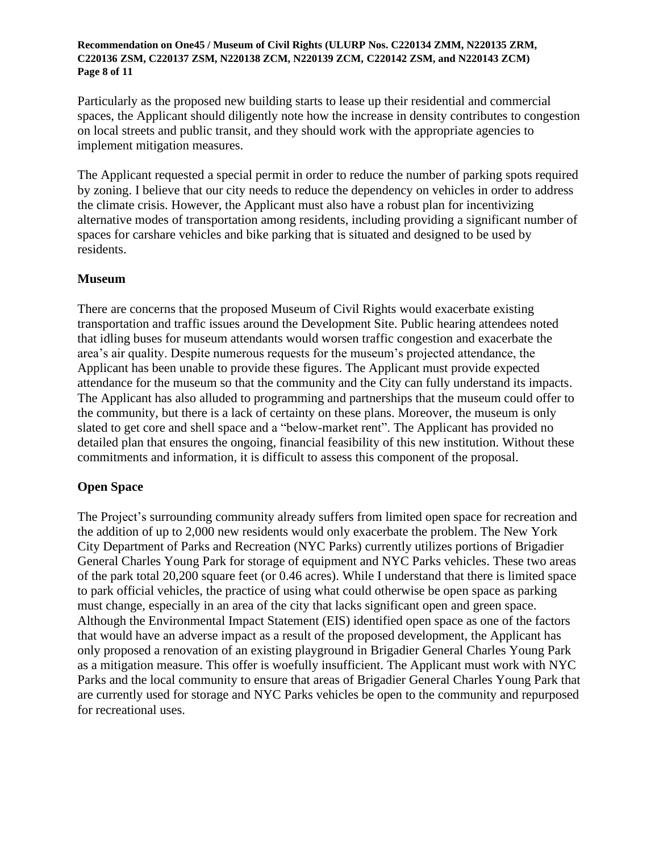#### **Recommendation on One45 / Museum of Civil Rights (ULURP Nos. C220134 ZMM, N220135 ZRM, C220136 ZSM, C220137 ZSM, N220138 ZCM, N220139 ZCM, C220142 ZSM, and N220143 ZCM) Page 8 of 11**

Particularly as the proposed new building starts to lease up their residential and commercial spaces, the Applicant should diligently note how the increase in density contributes to congestion on local streets and public transit, and they should work with the appropriate agencies to implement mitigation measures.

The Applicant requested a special permit in order to reduce the number of parking spots required by zoning. I believe that our city needs to reduce the dependency on vehicles in order to address the climate crisis. However, the Applicant must also have a robust plan for incentivizing alternative modes of transportation among residents, including providing a significant number of spaces for carshare vehicles and bike parking that is situated and designed to be used by residents.

## **Museum**

There are concerns that the proposed Museum of Civil Rights would exacerbate existing transportation and traffic issues around the Development Site. Public hearing attendees noted that idling buses for museum attendants would worsen traffic congestion and exacerbate the area's air quality. Despite numerous requests for the museum's projected attendance, the Applicant has been unable to provide these figures. The Applicant must provide expected attendance for the museum so that the community and the City can fully understand its impacts. The Applicant has also alluded to programming and partnerships that the museum could offer to the community, but there is a lack of certainty on these plans. Moreover, the museum is only slated to get core and shell space and a "below-market rent". The Applicant has provided no detailed plan that ensures the ongoing, financial feasibility of this new institution. Without these commitments and information, it is difficult to assess this component of the proposal.

## **Open Space**

The Project's surrounding community already suffers from limited open space for recreation and the addition of up to 2,000 new residents would only exacerbate the problem. The New York City Department of Parks and Recreation (NYC Parks) currently utilizes portions of Brigadier General Charles Young Park for storage of equipment and NYC Parks vehicles. These two areas of the park total 20,200 square feet (or 0.46 acres). While I understand that there is limited space to park official vehicles, the practice of using what could otherwise be open space as parking must change, especially in an area of the city that lacks significant open and green space. Although the Environmental Impact Statement (EIS) identified open space as one of the factors that would have an adverse impact as a result of the proposed development, the Applicant has only proposed a renovation of an existing playground in Brigadier General Charles Young Park as a mitigation measure. This offer is woefully insufficient. The Applicant must work with NYC Parks and the local community to ensure that areas of Brigadier General Charles Young Park that are currently used for storage and NYC Parks vehicles be open to the community and repurposed for recreational uses.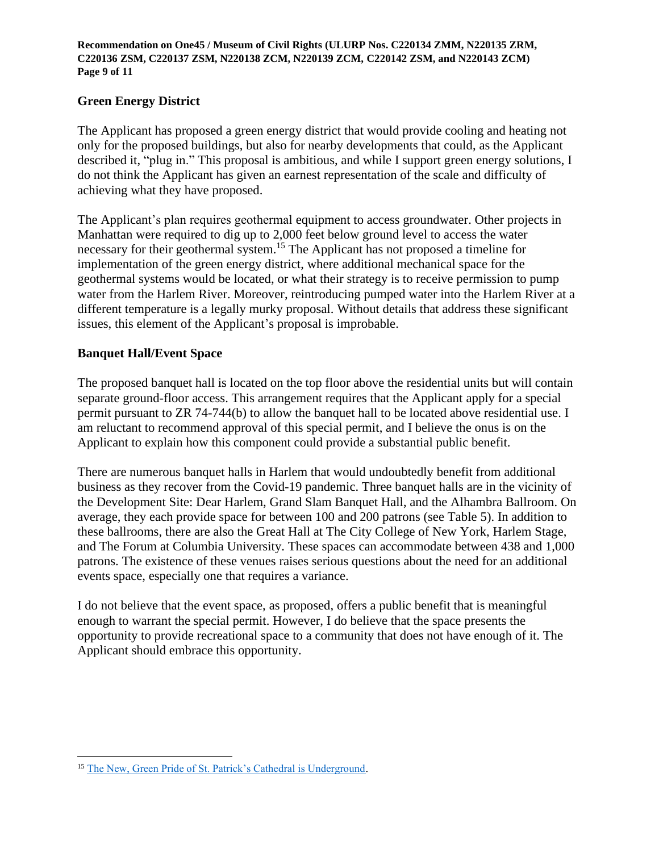**Recommendation on One45 / Museum of Civil Rights (ULURP Nos. C220134 ZMM, N220135 ZRM, C220136 ZSM, C220137 ZSM, N220138 ZCM, N220139 ZCM, C220142 ZSM, and N220143 ZCM) Page 9 of 11**

## **Green Energy District**

The Applicant has proposed a green energy district that would provide cooling and heating not only for the proposed buildings, but also for nearby developments that could, as the Applicant described it, "plug in." This proposal is ambitious, and while I support green energy solutions, I do not think the Applicant has given an earnest representation of the scale and difficulty of achieving what they have proposed.

The Applicant's plan requires geothermal equipment to access groundwater. Other projects in Manhattan were required to dig up to 2,000 feet below ground level to access the water necessary for their geothermal system.<sup>15</sup> The Applicant has not proposed a timeline for implementation of the green energy district, where additional mechanical space for the geothermal systems would be located, or what their strategy is to receive permission to pump water from the Harlem River. Moreover, reintroducing pumped water into the Harlem River at a different temperature is a legally murky proposal. Without details that address these significant issues, this element of the Applicant's proposal is improbable.

## **Banquet Hall/Event Space**

The proposed banquet hall is located on the top floor above the residential units but will contain separate ground-floor access. This arrangement requires that the Applicant apply for a special permit pursuant to ZR 74-744(b) to allow the banquet hall to be located above residential use. I am reluctant to recommend approval of this special permit, and I believe the onus is on the Applicant to explain how this component could provide a substantial public benefit.

There are numerous banquet halls in Harlem that would undoubtedly benefit from additional business as they recover from the Covid-19 pandemic. Three banquet halls are in the vicinity of the Development Site: Dear Harlem, Grand Slam Banquet Hall, and the Alhambra Ballroom. On average, they each provide space for between 100 and 200 patrons (see Table 5). In addition to these ballrooms, there are also the Great Hall at The City College of New York, Harlem Stage, and The Forum at Columbia University. These spaces can accommodate between 438 and 1,000 patrons. The existence of these venues raises serious questions about the need for an additional events space, especially one that requires a variance.

I do not believe that the event space, as proposed, offers a public benefit that is meaningful enough to warrant the special permit. However, I do believe that the space presents the opportunity to provide recreational space to a community that does not have enough of it. The Applicant should embrace this opportunity.

<sup>15</sup> [The New, Green Pride of St. Patrick's Cathedral is Underground.](https://www.nytimes.com/2018/03/14/nyregion/st-patricks-cathedral-geothermal.html)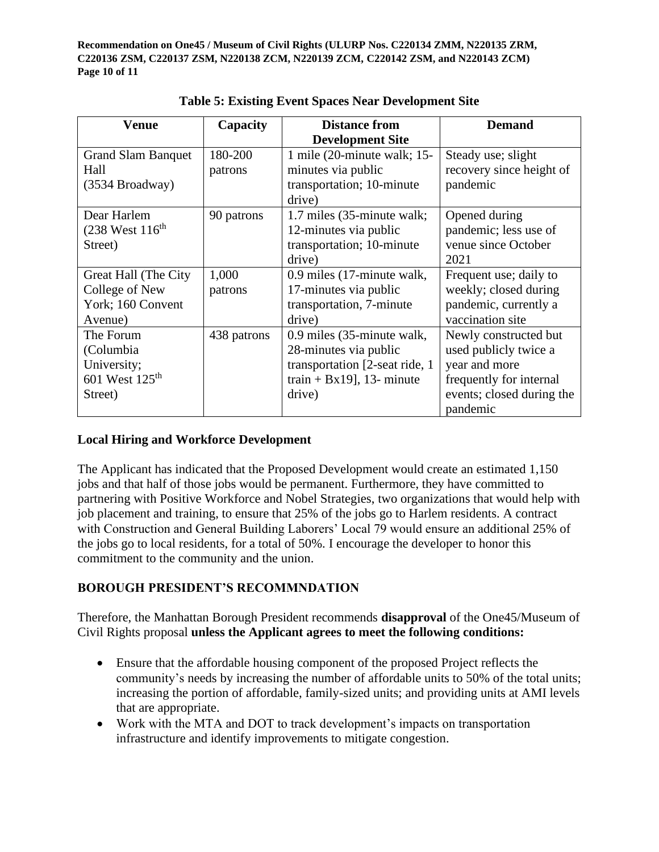**Recommendation on One45 / Museum of Civil Rights (ULURP Nos. C220134 ZMM, N220135 ZRM, C220136 ZSM, C220137 ZSM, N220138 ZCM, N220139 ZCM, C220142 ZSM, and N220143 ZCM) Page 10 of 11**

| <b>Venue</b>               | Capacity    | <b>Distance from</b>           | <b>Demand</b>             |
|----------------------------|-------------|--------------------------------|---------------------------|
|                            |             | <b>Development Site</b>        |                           |
| <b>Grand Slam Banquet</b>  | 180-200     | 1 mile $(20$ -minute walk; 15- | Steady use; slight        |
| Hall                       | patrons     | minutes via public             | recovery since height of  |
| $(3534$ Broadway)          |             | transportation; 10-minute      | pandemic                  |
|                            |             | drive)                         |                           |
| Dear Harlem                | 90 patrons  | 1.7 miles (35-minute walk;     | Opened during             |
| $(238$ West $116^{th}$     |             | 12-minutes via public          | pandemic; less use of     |
| Street)                    |             | transportation; 10-minute      | venue since October       |
|                            |             | drive)                         | 2021                      |
| Great Hall (The City       | 1,000       | 0.9 miles (17-minute walk,     | Frequent use; daily to    |
| College of New             | patrons     | 17-minutes via public          | weekly; closed during     |
| York; 160 Convent          |             | transportation, 7-minute       | pandemic, currently a     |
| Avenue)                    |             | drive)                         | vaccination site          |
| The Forum                  | 438 patrons | 0.9 miles (35-minute walk,     | Newly constructed but     |
| (Columbia)                 |             | 28-minutes via public          | used publicly twice a     |
| University;                |             | transportation [2-seat ride, 1 | year and more             |
| 601 West 125 <sup>th</sup> |             | train + Bx19], 13- minute      | frequently for internal   |
| Street)                    |             | drive)                         | events; closed during the |
|                            |             |                                | pandemic                  |

**Table 5: Existing Event Spaces Near Development Site**

# **Local Hiring and Workforce Development**

The Applicant has indicated that the Proposed Development would create an estimated 1,150 jobs and that half of those jobs would be permanent. Furthermore, they have committed to partnering with Positive Workforce and Nobel Strategies, two organizations that would help with job placement and training, to ensure that 25% of the jobs go to Harlem residents. A contract with Construction and General Building Laborers' Local 79 would ensure an additional 25% of the jobs go to local residents, for a total of 50%. I encourage the developer to honor this commitment to the community and the union.

# **BOROUGH PRESIDENT'S RECOMMNDATION**

Therefore, the Manhattan Borough President recommends **disapproval** of the One45/Museum of Civil Rights proposal **unless the Applicant agrees to meet the following conditions:**

- Ensure that the affordable housing component of the proposed Project reflects the community's needs by increasing the number of affordable units to 50% of the total units; increasing the portion of affordable, family-sized units; and providing units at AMI levels that are appropriate.
- Work with the MTA and DOT to track development's impacts on transportation infrastructure and identify improvements to mitigate congestion.